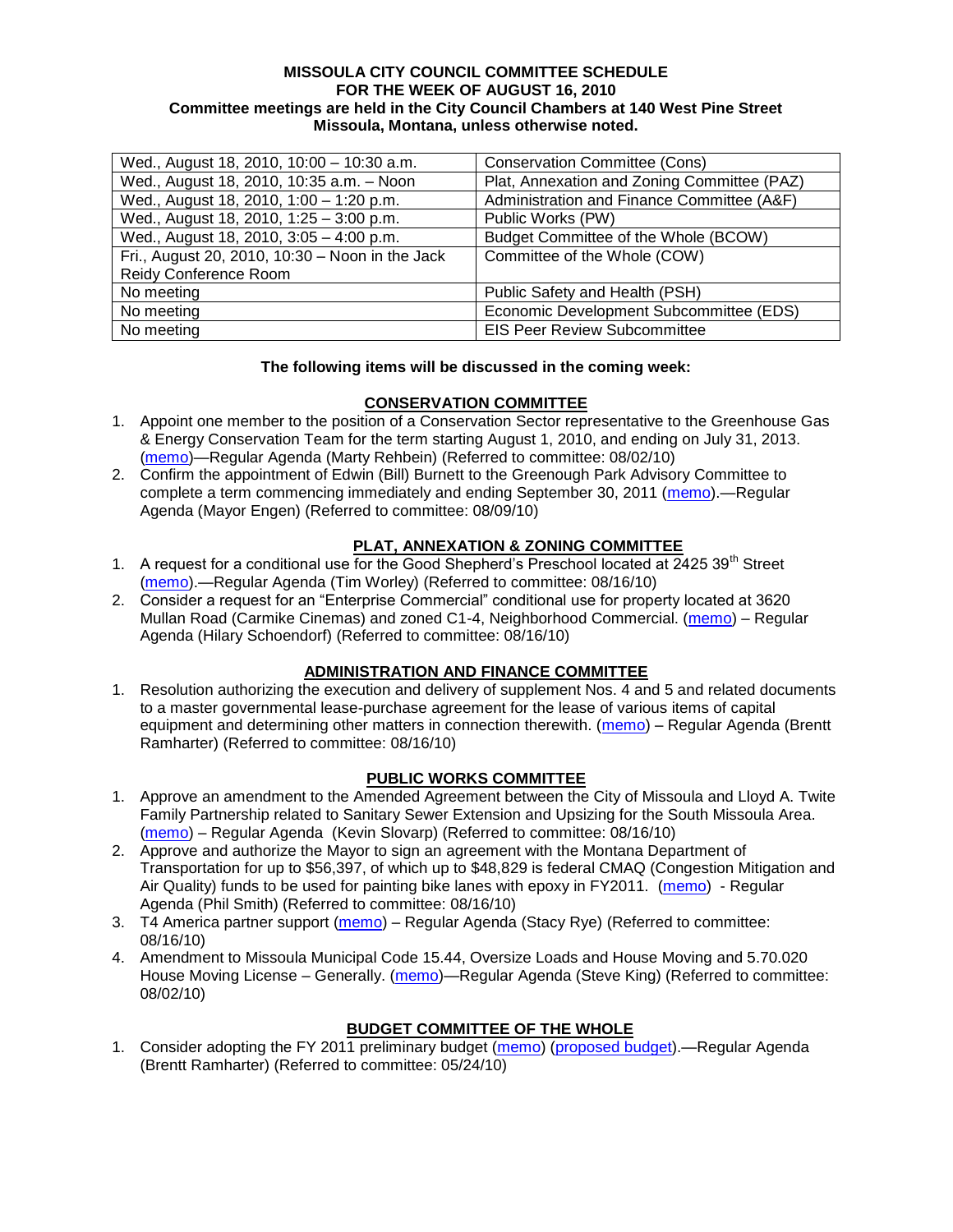#### **MISSOULA CITY COUNCIL COMMITTEE SCHEDULE FOR THE WEEK OF AUGUST 16, 2010 Committee meetings are held in the City Council Chambers at 140 West Pine Street Missoula, Montana, unless otherwise noted.**

| Wed., August 18, 2010, 10:00 - 10:30 a.m.       | <b>Conservation Committee (Cons)</b>        |
|-------------------------------------------------|---------------------------------------------|
| Wed., August 18, 2010, 10:35 a.m. - Noon        | Plat, Annexation and Zoning Committee (PAZ) |
| Wed., August 18, 2010, 1:00 - 1:20 p.m.         | Administration and Finance Committee (A&F)  |
| Wed., August 18, 2010, 1:25 - 3:00 p.m.         | Public Works (PW)                           |
| Wed., August 18, 2010, 3:05 - 4:00 p.m.         | Budget Committee of the Whole (BCOW)        |
| Fri., August 20, 2010, 10:30 - Noon in the Jack | Committee of the Whole (COW)                |
| Reidy Conference Room                           |                                             |
| No meeting                                      | Public Safety and Health (PSH)              |
| No meeting                                      | Economic Development Subcommittee (EDS)     |
| No meeting                                      | <b>EIS Peer Review Subcommittee</b>         |

### **The following items will be discussed in the coming week:**

### **CONSERVATION COMMITTEE**

- 1. Appoint one member to the position of a Conservation Sector representative to the Greenhouse Gas & Energy Conservation Team for the term starting August 1, 2010, and ending on July 31, 2013. [\(memo\)](http://www.ci.missoula.mt.us/DocumentView.aspx?DID=4361)—Regular Agenda (Marty Rehbein) (Referred to committee: 08/02/10)
- 2. Confirm the appointment of Edwin (Bill) Burnett to the Greenough Park Advisory Committee to complete a term commencing immediately and ending September 30, 2011 [\(memo\)](http://www.ci.missoula.mt.us/DocumentView.aspx?DID=4406).—Regular Agenda (Mayor Engen) (Referred to committee: 08/09/10)

## **PLAT, ANNEXATION & ZONING COMMITTEE**

- 1. A request for a conditional use for the Good Shepherd's Preschool located at  $2425.39<sup>th</sup>$  Street [\(memo\)](http://www.ci.missoula.mt.us/DocumentView.aspx?DID=4429).—Regular Agenda (Tim Worley) (Referred to committee: 08/16/10)
- 2. Consider a request for an "Enterprise Commercial" conditional use for property located at 3620 Mullan Road (Carmike Cinemas) and zoned C1-4, Neighborhood Commercial. [\(memo\)](http://www.ci.missoula.mt.us/DocumentView.aspx?DID=4438) – Regular Agenda (Hilary Schoendorf) (Referred to committee: 08/16/10)

### **ADMINISTRATION AND FINANCE COMMITTEE**

1. Resolution authorizing the execution and delivery of supplement Nos. 4 and 5 and related documents to a master governmental lease-purchase agreement for the lease of various items of capital equipment and determining other matters in connection therewith. [\(memo\)](http://www.ci.missoula.mt.us/DocumentView.aspx?DID=4437) – Regular Agenda (Brentt Ramharter) (Referred to committee: 08/16/10)

### **PUBLIC WORKS COMMITTEE**

- 1. Approve an amendment to the Amended Agreement between the City of Missoula and Lloyd A. Twite Family Partnership related to Sanitary Sewer Extension and Upsizing for the South Missoula Area. [\(memo\)](http://www.ci.missoula.mt.us/DocumentView.aspx?DID=4448) – Regular Agenda (Kevin Slovarp) (Referred to committee: 08/16/10)
- 2. Approve and authorize the Mayor to sign an agreement with the Montana Department of Transportation for up to \$56,397, of which up to \$48,829 is federal CMAQ (Congestion Mitigation and Air Quality) funds to be used for painting bike lanes with epoxy in FY2011. [\(memo\)](http://www.ci.missoula.mt.us/DocumentView.aspx?DID=4449) - Regular Agenda (Phil Smith) (Referred to committee: 08/16/10)
- 3. T4 America partner support [\(memo\)](http://www.ci.missoula.mt.us/DocumentView.aspx?DID=4452) Regular Agenda (Stacy Rye) (Referred to committee: 08/16/10)
- 4. Amendment to Missoula Municipal Code 15.44, Oversize Loads and House Moving and 5.70.020 House Moving License – Generally. [\(memo\)](http://www.ci.missoula.mt.us/DocumentView.aspx?DID=4362)—Regular Agenda (Steve King) (Referred to committee: 08/02/10)

### **BUDGET COMMITTEE OF THE WHOLE**

1. Consider adopting the FY 2011 preliminary budget [\(memo\)](http://www.ci.missoula.mt.us/DocumentView.aspx?DID=3881) [\(proposed budget\)](http://www.ci.missoula.mt.us/index.aspx?nid=989).—Regular Agenda (Brentt Ramharter) (Referred to committee: 05/24/10)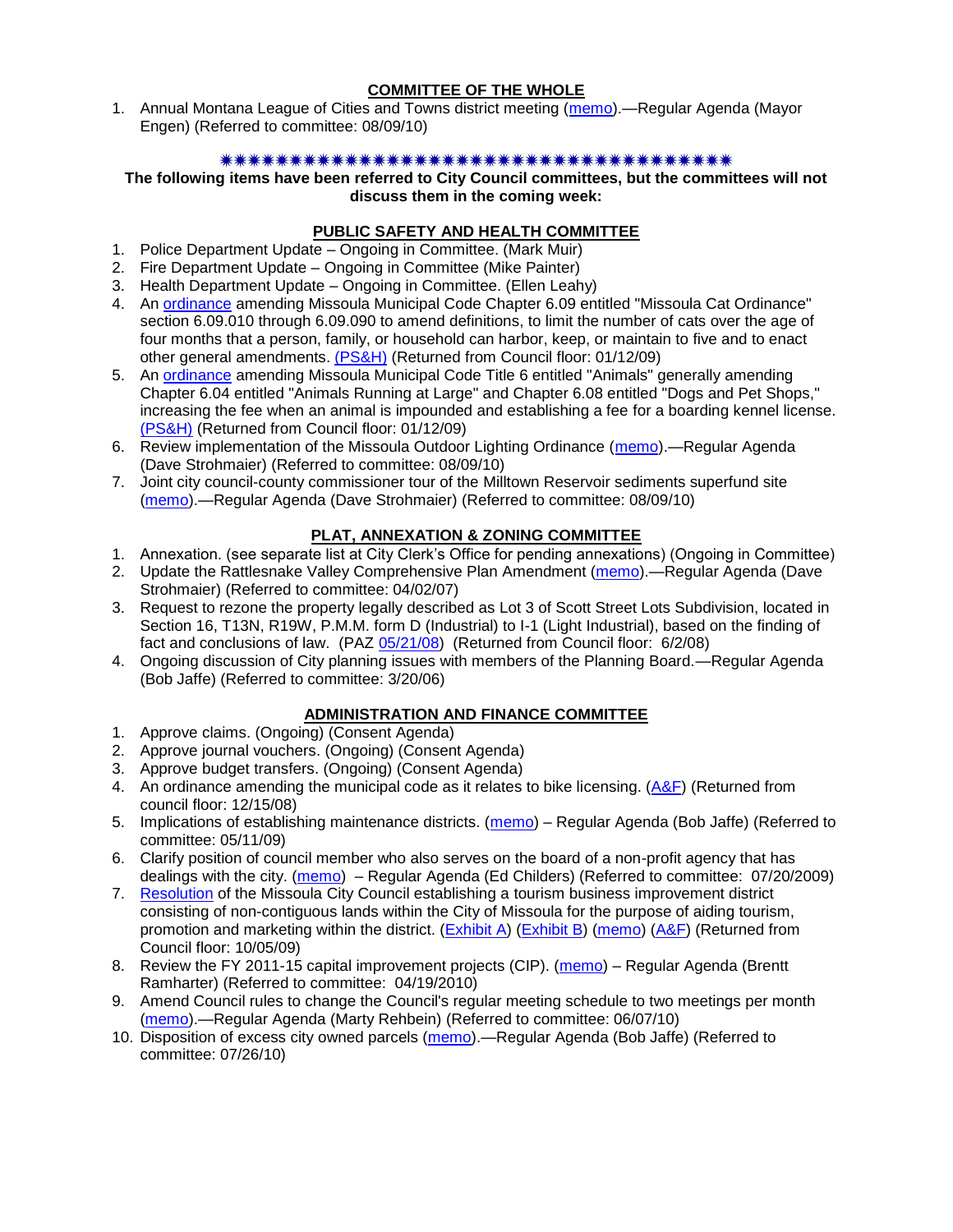## **COMMITTEE OF THE WHOLE**

1. Annual Montana League of Cities and Towns district meeting [\(memo\)](http://www.ci.missoula.mt.us/DocumentView.aspx?DID=4405).—Regular Agenda (Mayor Engen) (Referred to committee: 08/09/10)

### 

**The following items have been referred to City Council committees, but the committees will not discuss them in the coming week:**

# **PUBLIC SAFETY AND HEALTH COMMITTEE**

- 1. Police Department Update Ongoing in Committee. (Mark Muir)
- 2. Fire Department Update Ongoing in Committee (Mike Painter)
- 3. Health Department Update Ongoing in Committee. (Ellen Leahy)
- 4. An [ordinance](ftp://ftp.ci.missoula.mt.us/Packets/Council/2008/2008-12-15/2008CatOrdinanceAmendment%5B1%5D.pdf) amending Missoula Municipal Code Chapter 6.09 entitled "Missoula Cat Ordinance" section 6.09.010 through 6.09.090 to amend definitions, to limit the number of cats over the age of four months that a person, family, or household can harbor, keep, or maintain to five and to enact other general amendments. [\(PS&H\)](ftp://ftp.ci.missoula.mt.us/Packets/Council/2008/2008-12-15/081210psh.pdf) (Returned from Council floor: 01/12/09)
- 5. An [ordinance](ftp://ftp.ci.missoula.mt.us/Packets/Council/2008/2008-12-15/DogOrdinance--PSHrevisions.pdf) amending Missoula Municipal Code Title 6 entitled "Animals" generally amending Chapter 6.04 entitled "Animals Running at Large" and Chapter 6.08 entitled "Dogs and Pet Shops," increasing the fee when an animal is impounded and establishing a fee for a boarding kennel license. [\(PS&H\)](ftp://ftp.ci.missoula.mt.us/Packets/Council/2008/2008-12-15/081210psh.pdf) (Returned from Council floor: 01/12/09)
- 6. Review implementation of the Missoula Outdoor Lighting Ordinance [\(memo\)](http://www.ci.missoula.mt.us/DocumentView.aspx?DID=4420).—Regular Agenda (Dave Strohmaier) (Referred to committee: 08/09/10)
- 7. Joint city council-county commissioner tour of the Milltown Reservoir sediments superfund site [\(memo\)](http://www.ci.missoula.mt.us/DocumentView.aspx?DID=4421).—Regular Agenda (Dave Strohmaier) (Referred to committee: 08/09/10)

### **PLAT, ANNEXATION & ZONING COMMITTEE**

- 1. Annexation. (see separate list at City Clerk's Office for pending annexations) (Ongoing in Committee)
- 2. Update the Rattlesnake Valley Comprehensive Plan Amendment [\(memo\)](ftp://ftp.ci.missoula.mt.us/Packets/Council/2007/2007-04-02/Referrals/Rattlesnake_Plan_Update_referral.pdf).—Regular Agenda (Dave Strohmaier) (Referred to committee: 04/02/07)
- 3. Request to rezone the property legally described as Lot 3 of Scott Street Lots Subdivision, located in Section 16, T13N, R19W, P.M.M. form D (Industrial) to I-1 (Light Industrial), based on the finding of fact and conclusions of law. (PAZ [05/21/08\)](ftp://ftp.ci.missoula.mt.us/Packets/Council/2008/2008-06-02/080521paz.pdf) (Returned from Council floor: 6/2/08)
- 4. Ongoing discussion of City planning issues with members of the Planning Board.—Regular Agenda (Bob Jaffe) (Referred to committee: 3/20/06)

### **ADMINISTRATION AND FINANCE COMMITTEE**

- 1. Approve claims. (Ongoing) (Consent Agenda)
- 2. Approve journal vouchers. (Ongoing) (Consent Agenda)
- 3. Approve budget transfers. (Ongoing) (Consent Agenda)
- 4. An ordinance amending the municipal code as it relates to bike licensing. [\(A&F\)](ftp://ftp.ci.missoula.mt.us/Packets/Council/2008/2008-12-15/081210af.pdf) (Returned from council floor: 12/15/08)
- 5. Implications of establishing maintenance districts. [\(memo\)](ftp://ftp.ci.missoula.mt.us/Packets/Council/2009/2009-05-11/Referrals/MaintenanceDistricts.pdf) Regular Agenda (Bob Jaffe) (Referred to committee: 05/11/09)
- 6. Clarify position of council member who also serves on the board of a non-profit agency that has dealings with the city. [\(memo\)](http://www.ci.missoula.mt.us/DocumentView.aspx?DID=1840) – Regular Agenda (Ed Childers) (Referred to committee: 07/20/2009)
- 7. [Resolution](http://www.ci.missoula.mt.us/DocumentView.aspx?DID=2373) of the Missoula City Council establishing a tourism business improvement district consisting of non-contiguous lands within the City of Missoula for the purpose of aiding tourism, promotion and marketing within the district. [\(Exhibit A\)](http://www.ci.missoula.mt.us/DocumentView.aspx?DID=2090) [\(Exhibit B\)](http://www.ci.missoula.mt.us/DocumentView.aspx?DID=2374) [\(memo\)](http://www.ci.missoula.mt.us/DocumentView.aspx?DID=2097) [\(A&F\)](http://www.ci.missoula.mt.us/Archive.aspx?ADID=1172) (Returned from Council floor: 10/05/09)
- 8. Review the FY 2011-15 capital improvement projects (CIP). [\(memo\)](http://www.ci.missoula.mt.us/DocumentView.aspx?DID=3522) Regular Agenda (Brentt Ramharter) (Referred to committee: 04/19/2010)
- 9. Amend Council rules to change the Council's regular meeting schedule to two meetings per month [\(memo\)](http://www.ci.missoula.mt.us/DocumentView.aspx?DID=4027).—Regular Agenda (Marty Rehbein) (Referred to committee: 06/07/10)
- 10. Disposition of excess city owned parcels [\(memo\)](http://www.ci.missoula.mt.us/DocumentView.aspx?DID=4291).—Regular Agenda (Bob Jaffe) (Referred to committee: 07/26/10)